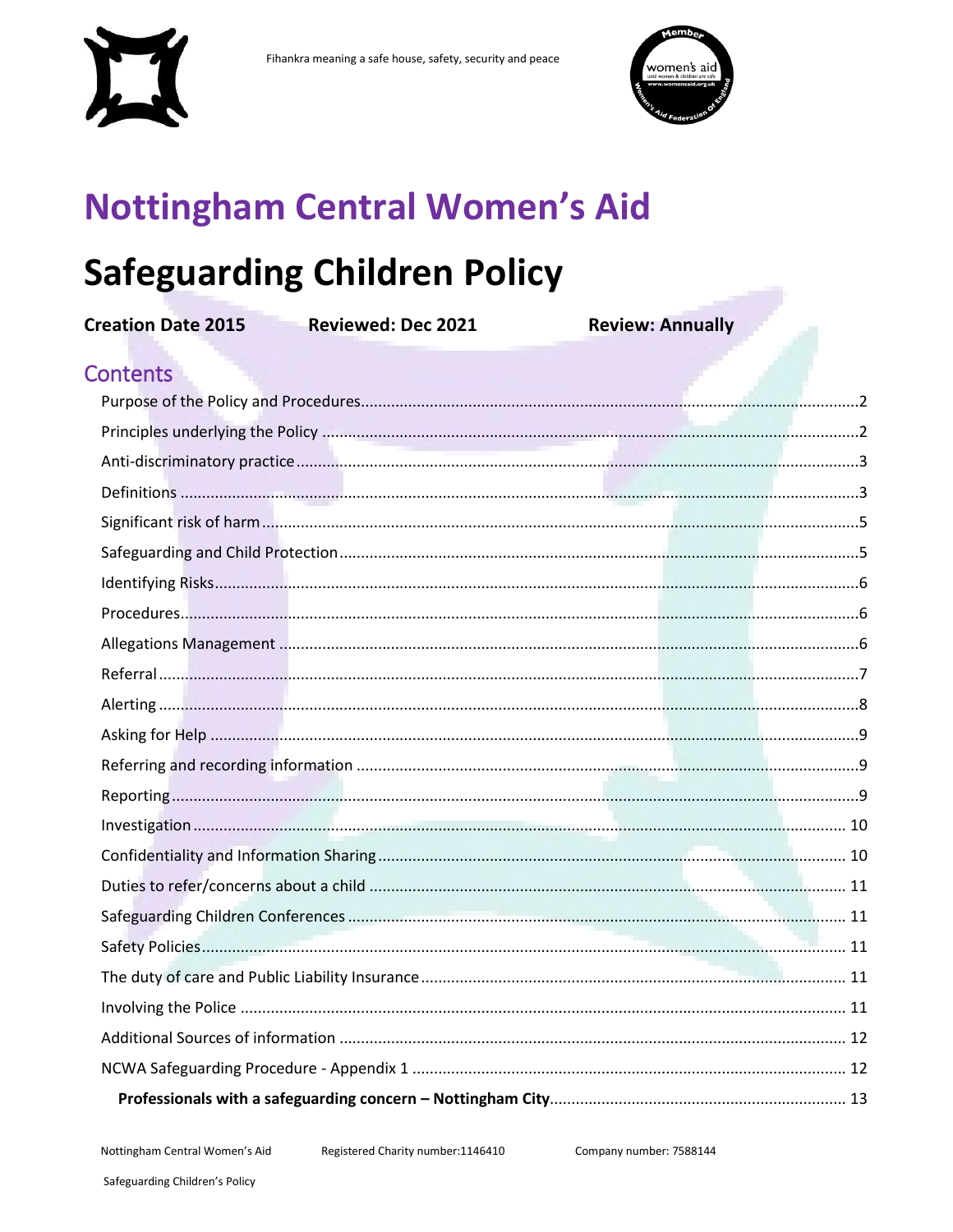



# **Nottingham Central Women's Aid**

# **Safeguarding Children Policy**

| <b>Creation Date 2015</b> | <b>Reviewed: Dec 2021</b> | <b>Review: Annually</b> |  |  |
|---------------------------|---------------------------|-------------------------|--|--|
| <b>Contents</b>           |                           |                         |  |  |
|                           |                           |                         |  |  |
|                           |                           |                         |  |  |
|                           |                           |                         |  |  |
|                           |                           |                         |  |  |
|                           |                           |                         |  |  |
|                           |                           |                         |  |  |
|                           |                           |                         |  |  |
|                           |                           |                         |  |  |
|                           |                           |                         |  |  |
|                           |                           |                         |  |  |
|                           |                           |                         |  |  |
|                           |                           |                         |  |  |
|                           |                           |                         |  |  |
|                           |                           |                         |  |  |
|                           |                           |                         |  |  |
|                           |                           |                         |  |  |
|                           |                           |                         |  |  |
|                           |                           |                         |  |  |
|                           |                           |                         |  |  |
|                           |                           |                         |  |  |
|                           |                           |                         |  |  |
|                           |                           |                         |  |  |
|                           |                           |                         |  |  |
|                           |                           |                         |  |  |
|                           |                           |                         |  |  |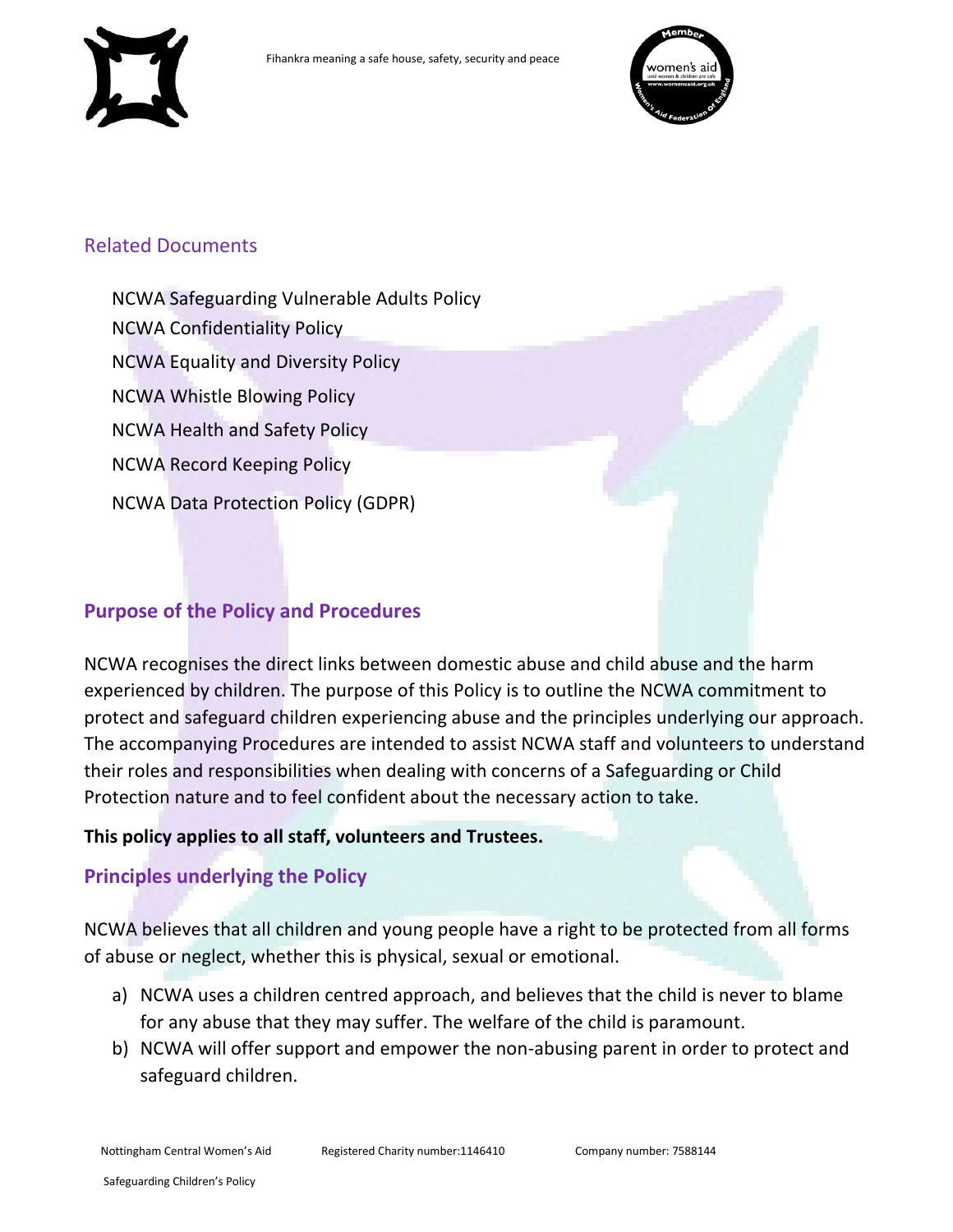



#### Related Documents

NCWA Safeguarding Vulnerable Adults Policy NCWA Confidentiality Policy NCWA Equality and Diversity Policy NCWA Whistle Blowing Policy NCWA Health and Safety Policy NCWA Record Keeping Policy NCWA Data Protection Policy (GDPR)

#### <span id="page-1-0"></span>**Purpose of the Policy and Procedures**

NCWA recognises the direct links between domestic abuse and child abuse and the harm experienced by children. The purpose of this Policy is to outline the NCWA commitment to protect and safeguard children experiencing abuse and the principles underlying our approach. The accompanying Procedures are intended to assist NCWA staff and volunteers to understand their roles and responsibilities when dealing with concerns of a Safeguarding or Child Protection nature and to feel confident about the necessary action to take.

#### **This policy applies to all staff, volunteers and Trustees.**

#### <span id="page-1-1"></span>**Principles underlying the Policy**

NCWA believes that all children and young people have a right to be protected from all forms of abuse or neglect, whether this is physical, sexual or emotional.

- a) NCWA uses a children centred approach, and believes that the child is never to blame for any abuse that they may suffer. The welfare of the child is paramount.
- b) NCWA will offer support and empower the non-abusing parent in order to protect and safeguard children.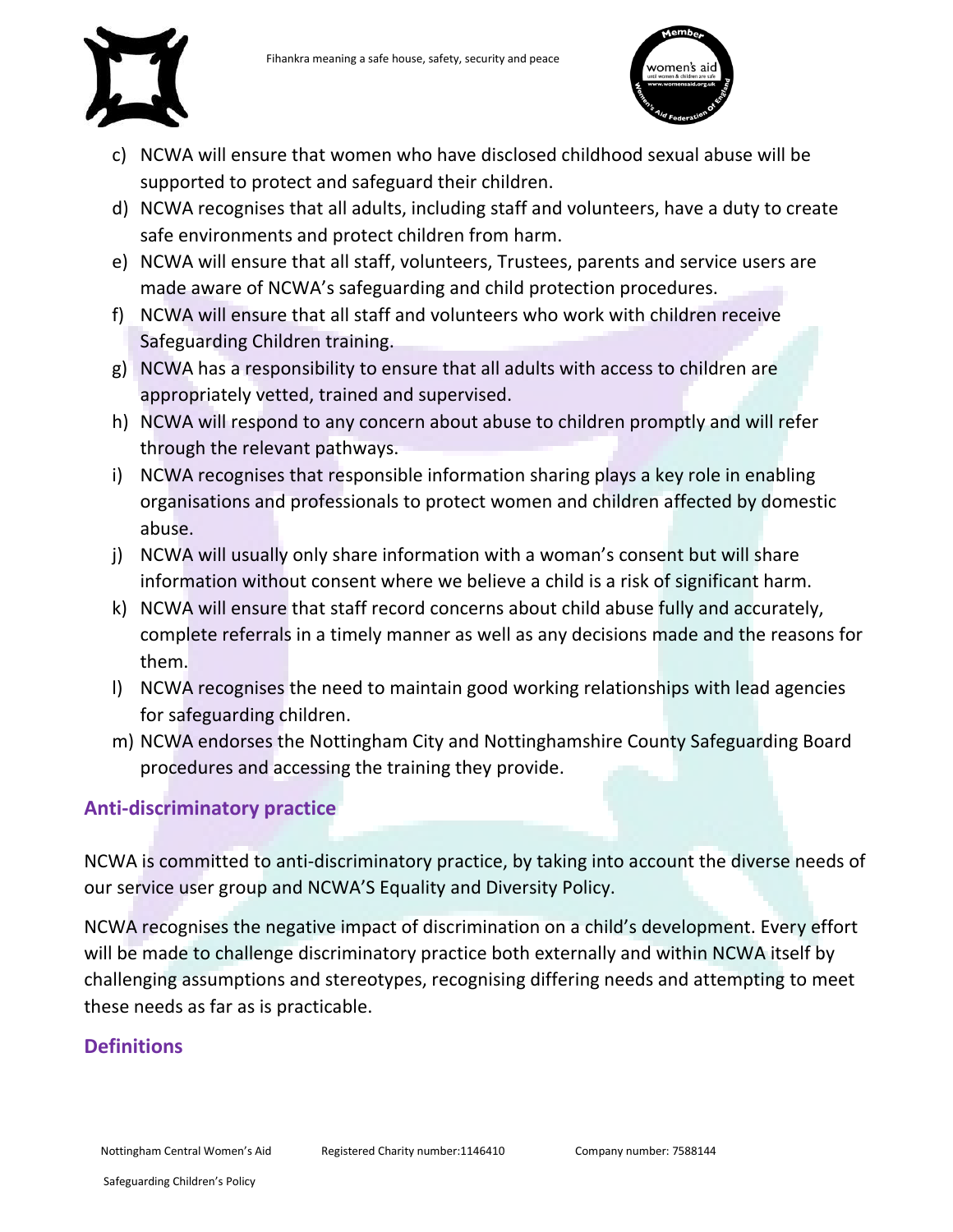



- c) NCWA will ensure that women who have disclosed childhood sexual abuse will be supported to protect and safeguard their children.
- d) NCWA recognises that all adults, including staff and volunteers, have a duty to create safe environments and protect children from harm.
- e) NCWA will ensure that all staff, volunteers, Trustees, parents and service users are made aware of NCWA's safeguarding and child protection procedures.
- f) NCWA will ensure that all staff and volunteers who work with children receive Safeguarding Children training.
- g) NCWA has a responsibility to ensure that all adults with access to children are appropriately vetted, trained and supervised.
- h) NCWA will respond to any concern about abuse to children promptly and will refer through the relevant pathways.
- i) NCWA recognises that responsible information sharing plays a key role in enabling organisations and professionals to protect women and children affected by domestic abuse.
- j) NCWA will usually only share information with a woman's consent but will share information without consent where we believe a child is a risk of significant harm.
- k) NCWA will ensure that staff record concerns about child abuse fully and accurately, complete referrals in a timely manner as well as any decisions made and the reasons for them.
- l) NCWA recognises the need to maintain good working relationships with lead agencies for safeguarding children.
- m) NCWA endorses the Nottingham City and Nottinghamshire County Safeguarding Board procedures and accessing the training they provide.

# <span id="page-2-0"></span>**Anti-discriminatory practice**

NCWA is committed to anti-discriminatory practice, by taking into account the diverse needs of our service user group and NCWA'S Equality and Diversity Policy.

NCWA recognises the negative impact of discrimination on a child's development. Every effort will be made to challenge discriminatory practice both externally and within NCWA itself by challenging assumptions and stereotypes, recognising differing needs and attempting to meet these needs as far as is practicable.

# <span id="page-2-1"></span>**Definitions**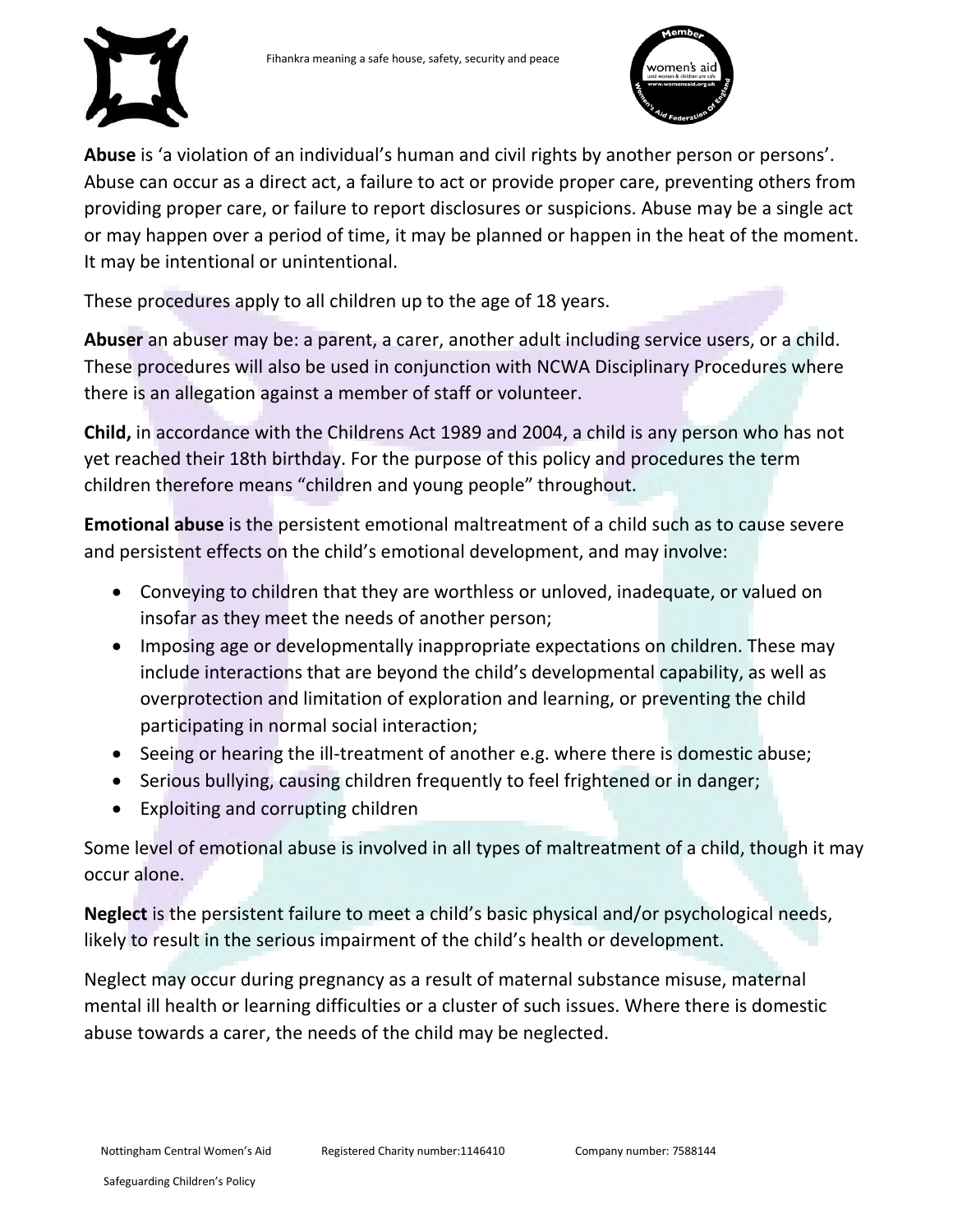



**Abuse** is 'a violation of an individual's human and civil rights by another person or persons'. Abuse can occur as a direct act, a failure to act or provide proper care, preventing others from providing proper care, or failure to report disclosures or suspicions. Abuse may be a single act or may happen over a period of time, it may be planned or happen in the heat of the moment. It may be intentional or unintentional.

These procedures apply to all children up to the age of 18 years.

**Abuser** an abuser may be: a parent, a carer, another adult including service users, or a child. These procedures will also be used in conjunction with NCWA Disciplinary Procedures where there is an allegation against a member of staff or volunteer.

**Child,** in accordance with the Childrens Act 1989 and 2004, a child is any person who has not yet reached their 18th birthday. For the purpose of this policy and procedures the term children therefore means "children and young people" throughout.

**Emotional abuse** is the persistent emotional maltreatment of a child such as to cause severe and persistent effects on the child's emotional development, and may involve:

- Conveying to children that they are worthless or unloved, inadequate, or valued on insofar as they meet the needs of another person;
- Imposing age or developmentally inappropriate expectations on children. These may include interactions that are beyond the child's developmental capability, as well as overprotection and limitation of exploration and learning, or preventing the child participating in normal social interaction;
- Seeing or hearing the ill-treatment of another e.g. where there is domestic abuse;
- Serious bullying, causing children frequently to feel frightened or in danger;
- Exploiting and corrupting children

Some level of emotional abuse is involved in all types of maltreatment of a child, though it may occur alone.

**Neglect** is the persistent failure to meet a child's basic physical and/or psychological needs, likely to result in the serious impairment of the child's health or development.

Neglect may occur during pregnancy as a result of maternal substance misuse, maternal mental ill health or learning difficulties or a cluster of such issues. Where there is domestic abuse towards a carer, the needs of the child may be neglected.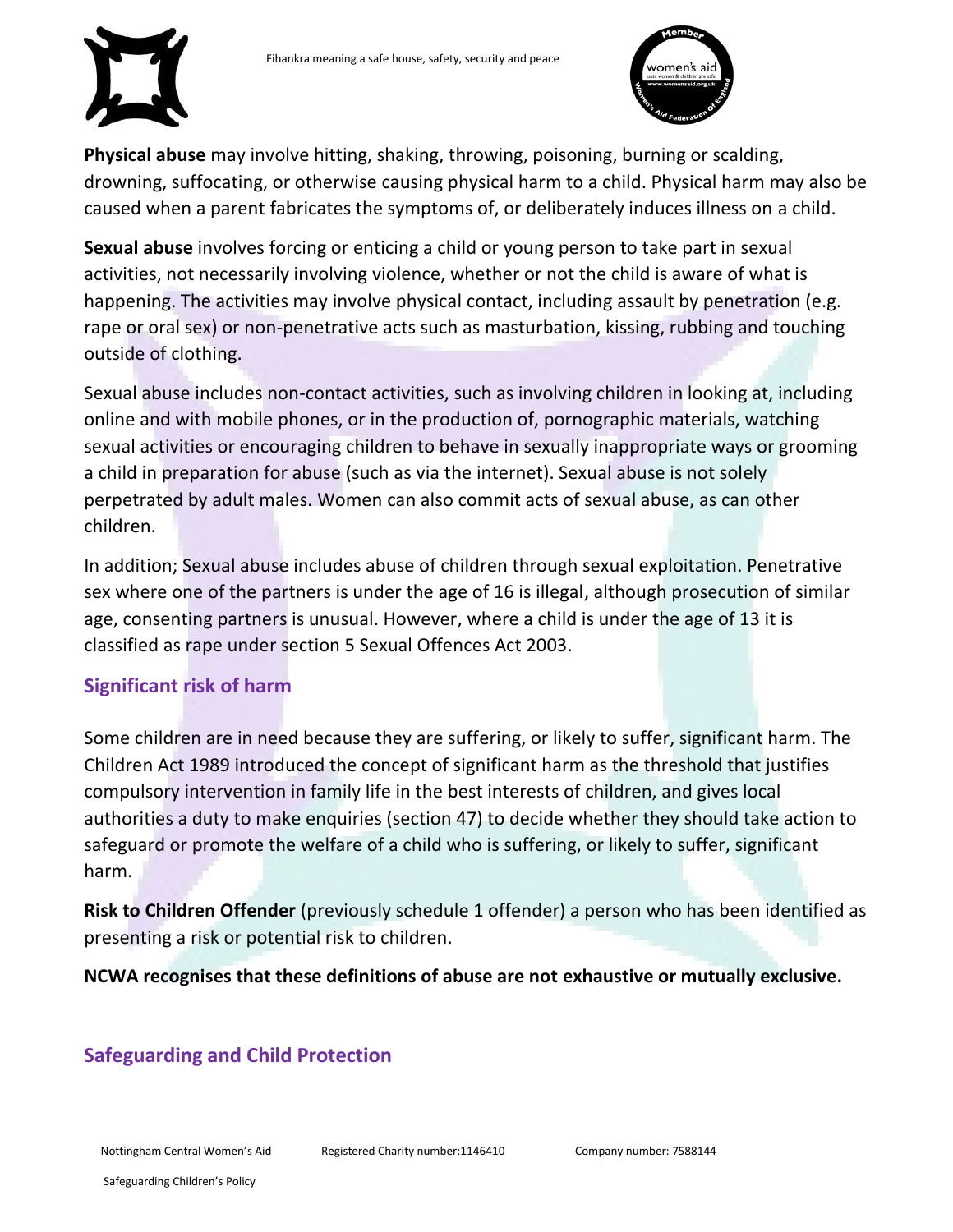



**Physical abuse** may involve hitting, shaking, throwing, poisoning, burning or scalding, drowning, suffocating, or otherwise causing physical harm to a child. Physical harm may also be caused when a parent fabricates the symptoms of, or deliberately induces illness on a child.

**Sexual abuse** involves forcing or enticing a child or young person to take part in sexual activities, not necessarily involving violence, whether or not the child is aware of what is happening. The activities may involve physical contact, including assault by penetration (e.g. rape or oral sex) or non-penetrative acts such as masturbation, kissing, rubbing and touching outside of clothing.

Sexual abuse includes non-contact activities, such as involving children in looking at, including online and with mobile phones, or in the production of, pornographic materials, watching sexual activities or encouraging children to behave in sexually inappropriate ways or grooming a child in preparation for abuse (such as via the internet). Sexual abuse is not solely perpetrated by adult males. Women can also commit acts of sexual abuse, as can other children.

In addition; Sexual abuse includes abuse of children through sexual exploitation. Penetrative sex where one of the partners is under the age of 16 is illegal, although prosecution of similar age, consenting partners is unusual. However, where a child is under the age of 13 it is classified as rape under section 5 Sexual Offences Act 2003.

# <span id="page-4-0"></span>**Significant risk of harm**

Some children are in need because they are suffering, or likely to suffer, significant harm. The Children Act 1989 introduced the concept of significant harm as the threshold that justifies compulsory intervention in family life in the best interests of children, and gives local authorities a duty to make enquiries (section 47) to decide whether they should take action to safeguard or promote the welfare of a child who is suffering, or likely to suffer, significant harm.

**Risk to Children Offender** (previously schedule 1 offender) a person who has been identified as presenting a risk or potential risk to children.

**NCWA recognises that these definitions of abuse are not exhaustive or mutually exclusive.**

# <span id="page-4-1"></span>**Safeguarding and Child Protection**

Nottingham Central Women's Aid

Registered Charity number:1146410 Company number: 7588144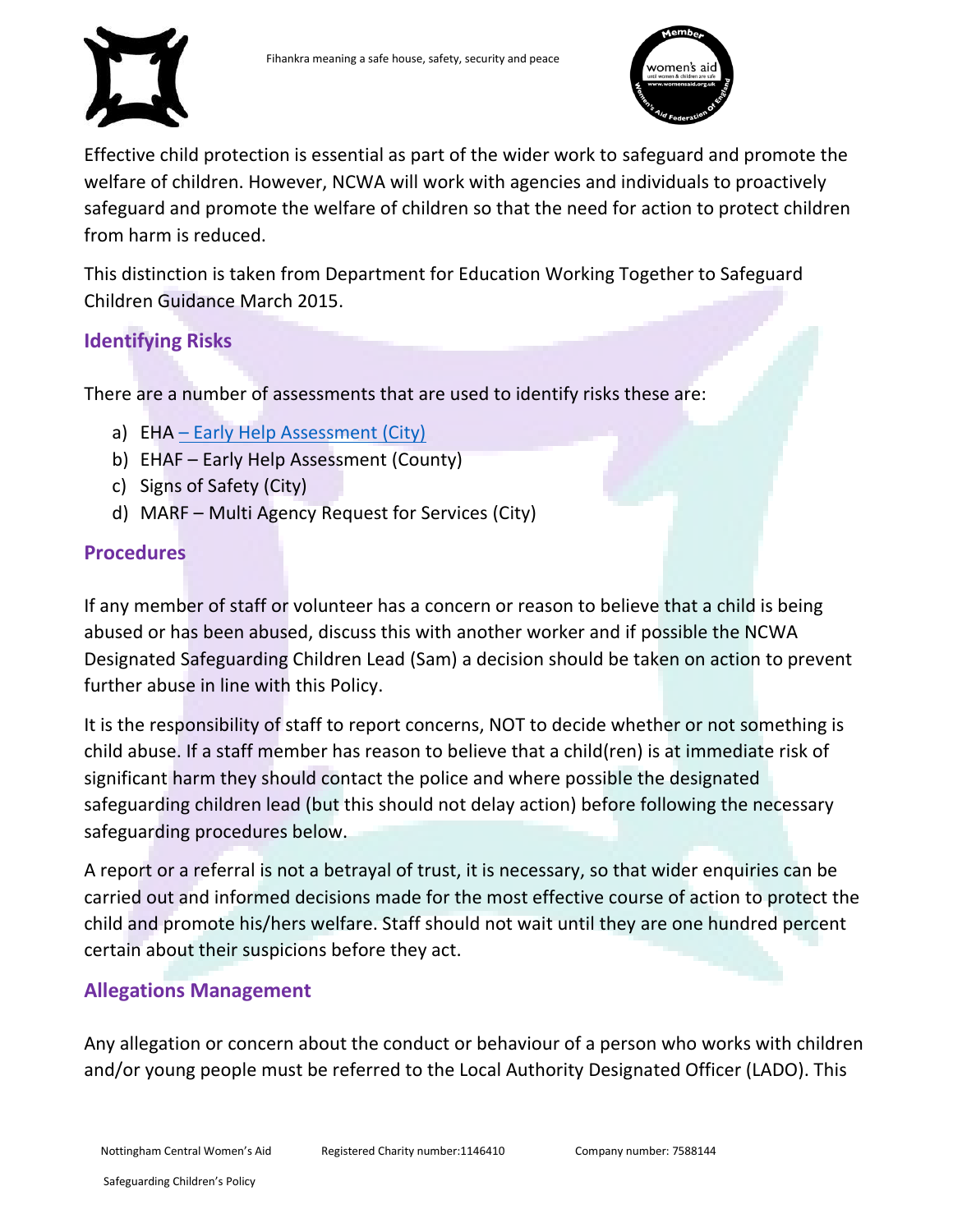



Effective child protection is essential as part of the wider work to safeguard and promote the welfare of children. However, NCWA will work with agencies and individuals to proactively safeguard and promote the welfare of children so that the need for action to protect children from harm is reduced.

This distinction is taken from Department for Education Working Together to Safeguard Children Guidance March 2015.

# <span id="page-5-0"></span>**Identifying Risks**

There are a number of assessments that are used to identify risks these are:

- a) EHA [Early Help Assessment \(City\)](https://www.nottinghamcity.gov.uk/media/1536396/family-support-pathway-2018-19.pdf)
- b) EHAF Early Help Assessment (County)
- c) Signs of Safety (City)
- d) MARF Multi Agency Request for Services (City)

# <span id="page-5-1"></span>**Procedures**

If any member of staff or volunteer has a concern or reason to believe that a child is being abused or has been abused, discuss this with another worker and if possible the NCWA Designated Safeguarding Children Lead (Sam) a decision should be taken on action to prevent further abuse in line with this Policy.

It is the responsibility of staff to report concerns, NOT to decide whether or not something is child abuse. If a staff member has reason to believe that a child(ren) is at immediate risk of significant harm they should contact the police and where possible the designated safeguarding children lead (but this should not delay action) before following the necessary safeguarding procedures below.

A report or a referral is not a betrayal of trust, it is necessary, so that wider enquiries can be carried out and informed decisions made for the most effective course of action to protect the child and promote his/hers welfare. Staff should not wait until they are one hundred percent certain about their suspicions before they act.

# <span id="page-5-2"></span>**Allegations Management**

Any allegation or concern about the conduct or behaviour of a person who works with children and/or young people must be referred to the Local Authority Designated Officer (LADO). This

Nottingham Central Women's Aid

Registered Charity number:1146410 Company number: 7588144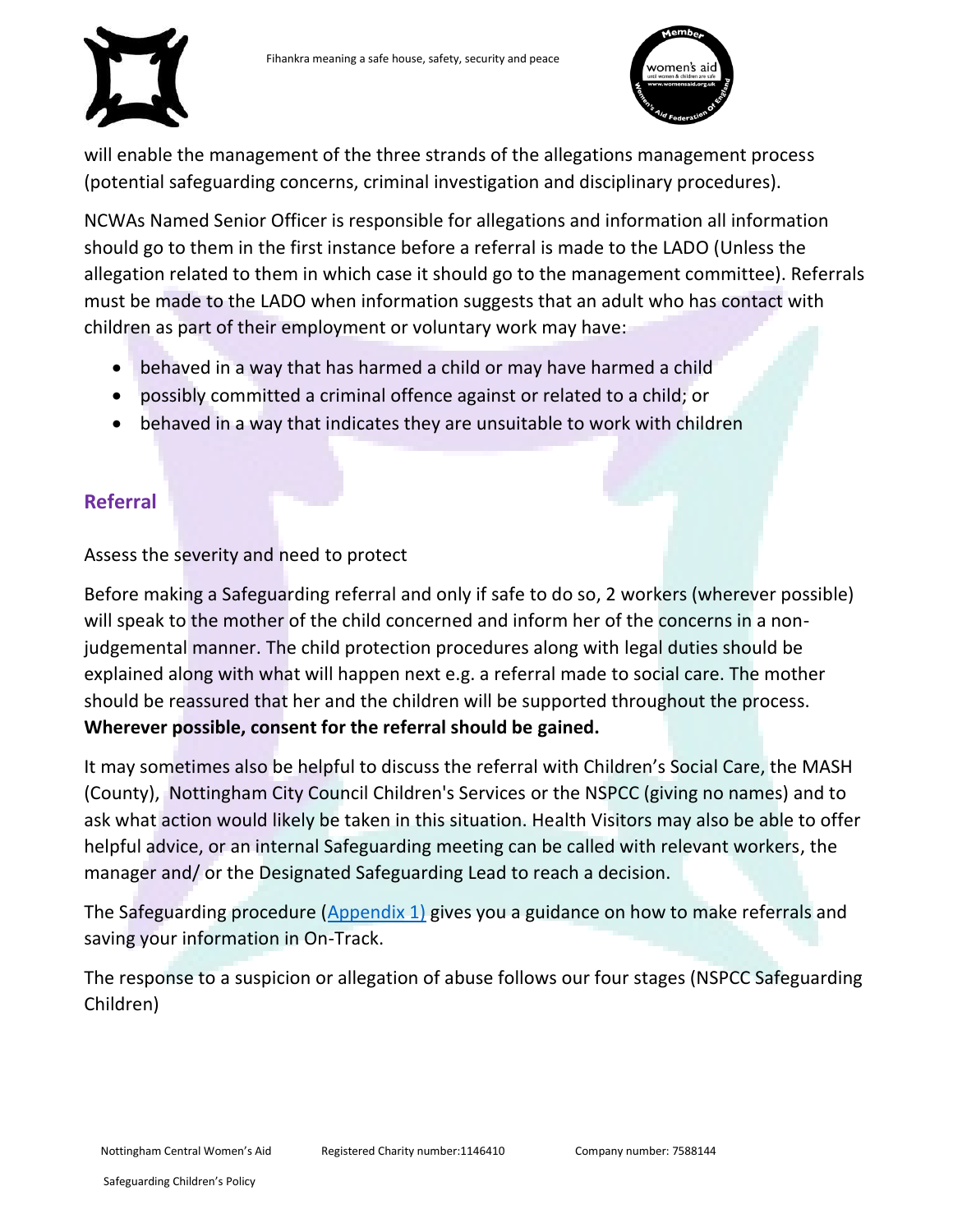



will enable the management of the three strands of the allegations management process (potential safeguarding concerns, criminal investigation and disciplinary procedures).

NCWAs Named Senior Officer is responsible for allegations and information all information should go to them in the first instance before a referral is made to the LADO (Unless the allegation related to them in which case it should go to the management committee). Referrals must be made to the LADO when information suggests that an adult who has contact with children as part of their employment or voluntary work may have:

- behaved in a way that has harmed a child or may have harmed a child
- possibly committed a criminal offence against or related to a child; or
- behaved in a way that indicates they are unsuitable to work with children

# <span id="page-6-0"></span>**Referral**

Assess the severity and need to protect

Before making a Safeguarding referral and only if safe to do so, 2 workers (wherever possible) will speak to the mother of the child concerned and inform her of the concerns in a nonjudgemental manner. The child protection procedures along with legal duties should be explained along with what will happen next e.g. a referral made to social care. The mother should be reassured that her and the children will be supported throughout the process. **Wherever possible, consent for the referral should be gained.**

It may sometimes also be helpful to discuss the referral with Children's Social Care, the MASH (County), Nottingham City Council Children's Services or the NSPCC (giving no names) and to ask what action would likely be taken in this situation. Health Visitors may also be able to offer helpful advice, or an internal Safeguarding meeting can be called with relevant workers, the manager and/ or the Designated Safeguarding Lead to reach a decision.

The Safeguarding procedure [\(Appendix 1\)](#page-11-2) gives you a guidance on how to make referrals and saving your information in On-Track.

The response to a suspicion or allegation of abuse follows our four stages (NSPCC Safeguarding Children)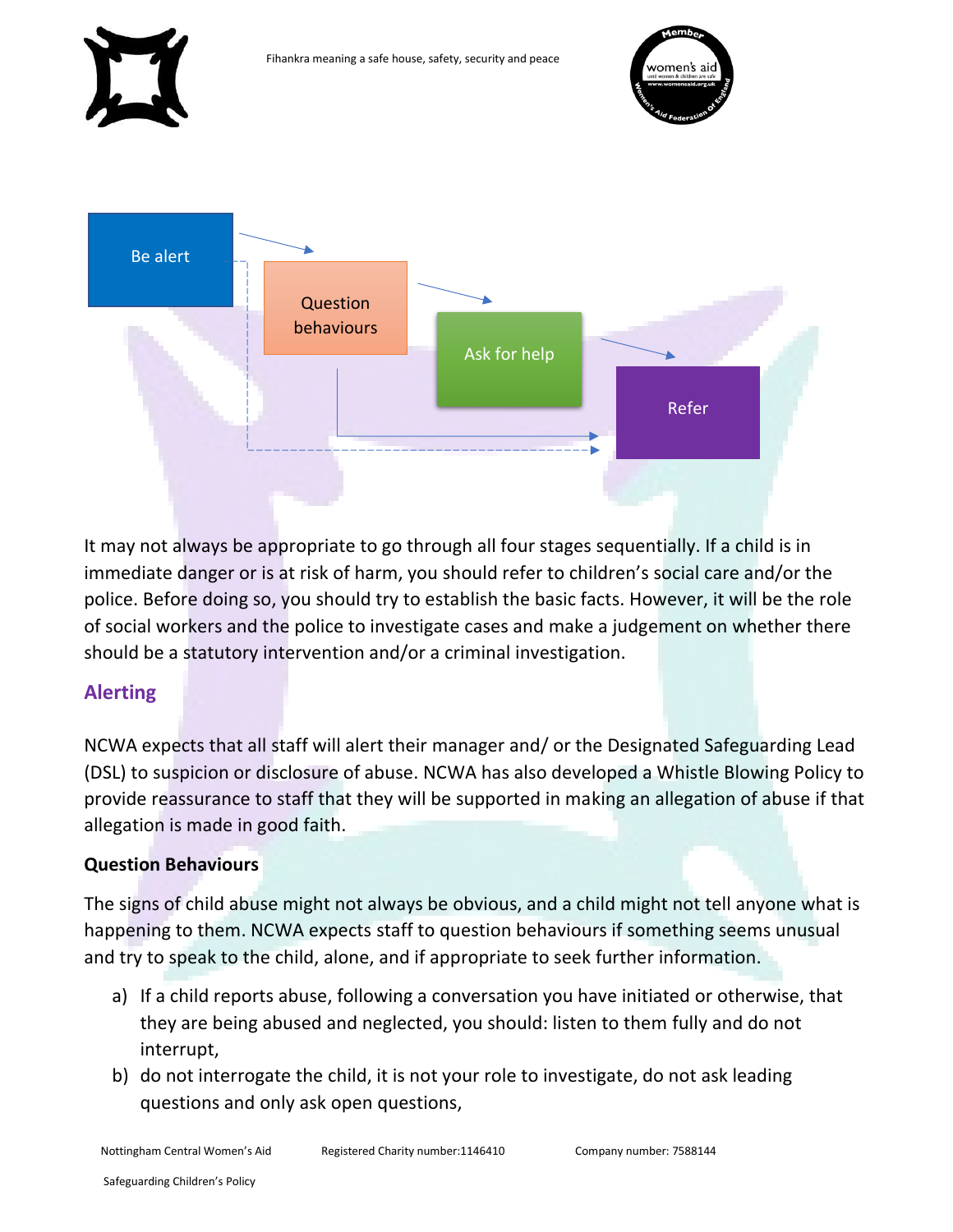

It may not always be appropriate to go through all four stages sequentially. If a child is in immediate danger or is at risk of harm, you should refer to children's social care and/or the police. Before doing so, you should try to establish the basic facts. However, it will be the role of social workers and the police to investigate cases and make a judgement on whether there should be a statutory intervention and/or a criminal investigation.

# <span id="page-7-0"></span>**Alerting**

NCWA expects that all staff will alert their manager and/ or the Designated Safeguarding Lead (DSL) to suspicion or disclosure of abuse. NCWA has also developed a Whistle Blowing Policy to provide reassurance to staff that they will be supported in making an allegation of abuse if that allegation is made in good faith.

# **Question Behaviours**

The signs of child abuse might not always be obvious, and a child might not tell anyone what is happening to them. NCWA expects staff to question behaviours if something seems unusual and try to speak to the child, alone, and if appropriate to seek further information.

- a) If a child reports abuse, following a conversation you have initiated or otherwise, that they are being abused and neglected, you should: listen to them fully and do not interrupt,
- b) do not interrogate the child, it is not your role to investigate, do not ask leading questions and only ask open questions,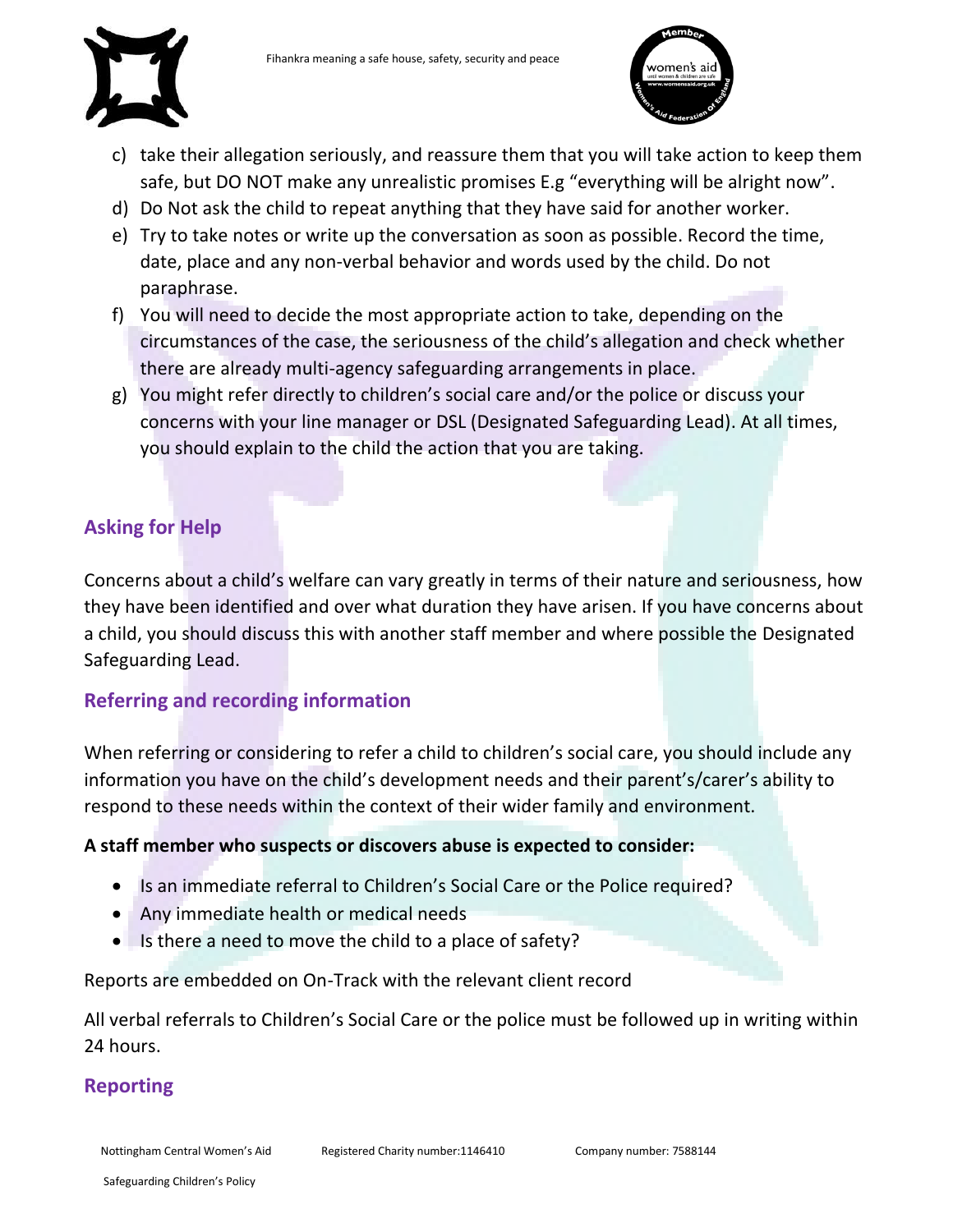

- c) take their allegation seriously, and reassure them that you will take action to keep them safe, but DO NOT make any unrealistic promises E.g "everything will be alright now".
- d) Do Not ask the child to repeat anything that they have said for another worker.
- e) Try to take notes or write up the conversation as soon as possible. Record the time, date, place and any non-verbal behavior and words used by the child. Do not paraphrase.
- f) You will need to decide the most appropriate action to take, depending on the circumstances of the case, the seriousness of the child's allegation and check whether there are already multi-agency safeguarding arrangements in place.
- g) You might refer directly to children's social care and/or the police or discuss your concerns with your line manager or DSL (Designated Safeguarding Lead). At all times, you should explain to the child the action that you are taking.

# <span id="page-8-0"></span>**Asking for Help**

Concerns about a child's welfare can vary greatly in terms of their nature and seriousness, how they have been identified and over what duration they have arisen. If you have concerns about a child, you should discuss this with another staff member and where possible the Designated Safeguarding Lead.

# <span id="page-8-1"></span>**Referring and recording information**

When referring or considering to refer a child to children's social care, you should include any information you have on the child's development needs and their parent's/carer's ability to respond to these needs within the context of their wider family and environment.

#### **A staff member who suspects or discovers abuse is expected to consider:**

- Is an immediate referral to Children's Social Care or the Police required?
- Any immediate health or medical needs
- Is there a need to move the child to a place of safety?

Reports are embedded on On-Track with the relevant client record

All verbal referrals to Children's Social Care or the police must be followed up in writing within 24 hours.

#### <span id="page-8-2"></span>**Reporting**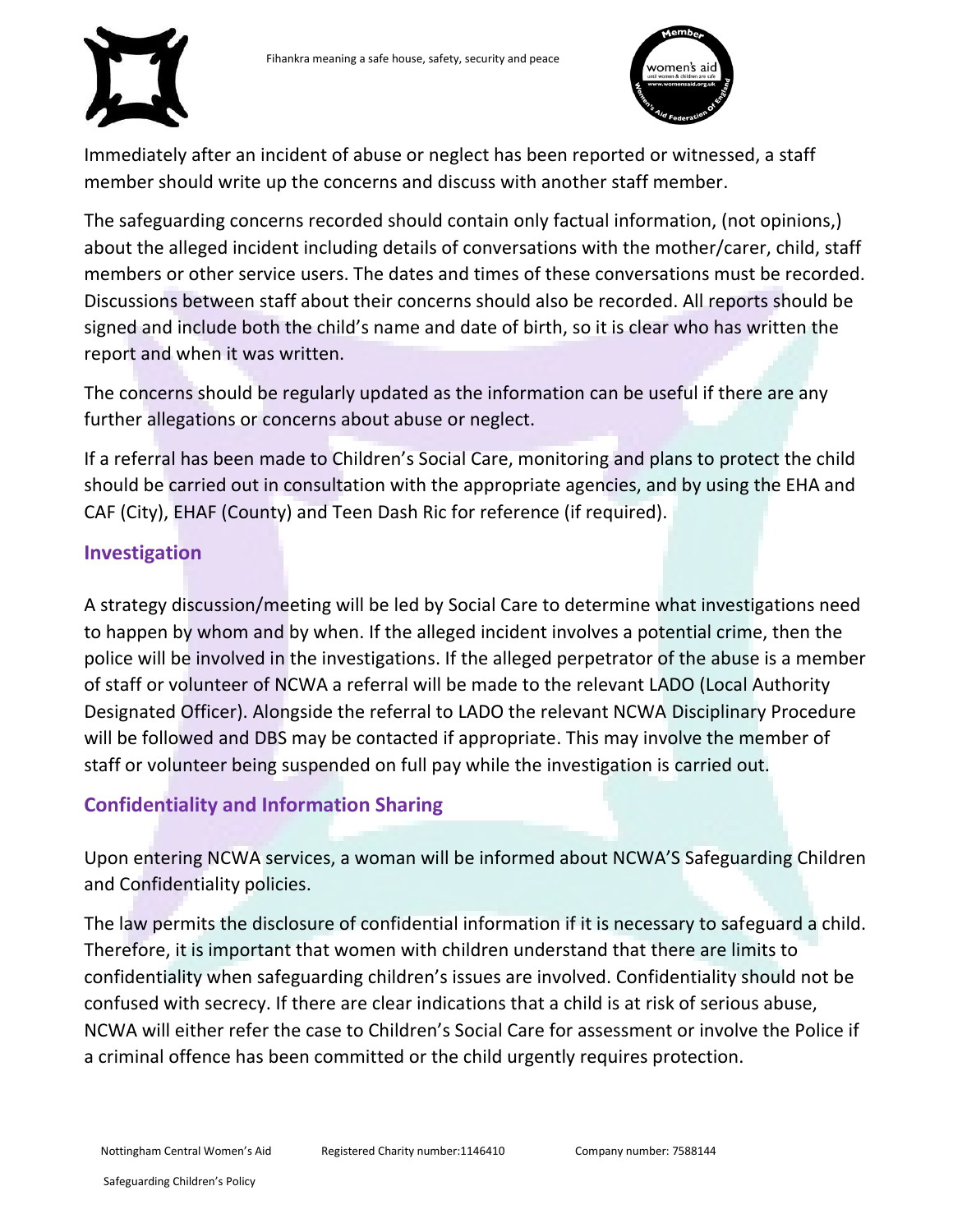

Immediately after an incident of abuse or neglect has been reported or witnessed, a staff member should write up the concerns and discuss with another staff member.

The safeguarding concerns recorded should contain only factual information, (not opinions,) about the alleged incident including details of conversations with the mother/carer, child, staff members or other service users. The dates and times of these conversations must be recorded. Discussions between staff about their concerns should also be recorded. All reports should be signed and include both the child's name and date of birth, so it is clear who has written the report and when it was written.

The concerns should be regularly updated as the information can be useful if there are any further allegations or concerns about abuse or neglect.

If a referral has been made to Children's Social Care, monitoring and plans to protect the child should be carried out in consultation with the appropriate agencies, and by using the EHA and CAF (City), EHAF (County) and Teen Dash Ric for reference (if required).

### <span id="page-9-0"></span>**Investigation**

A strategy discussion/meeting will be led by Social Care to determine what investigations need to happen by whom and by when. If the alleged incident involves a potential crime, then the police will be involved in the investigations. If the alleged perpetrator of the abuse is a member of staff or volunteer of NCWA a referral will be made to the relevant LADO (Local Authority Designated Officer). Alongside the referral to LADO the relevant NCWA Disciplinary Procedure will be followed and DBS may be contacted if appropriate. This may involve the member of staff or volunteer being suspended on full pay while the investigation is carried out.

# <span id="page-9-1"></span>**Confidentiality and Information Sharing**

Upon entering NCWA services, a woman will be informed about NCWA'S Safeguarding Children and Confidentiality policies.

The law permits the disclosure of confidential information if it is necessary to safeguard a child. Therefore, it is important that women with children understand that there are limits to confidentiality when safeguarding children's issues are involved. Confidentiality should not be confused with secrecy. If there are clear indications that a child is at risk of serious abuse, NCWA will either refer the case to Children's Social Care for assessment or involve the Police if a criminal offence has been committed or the child urgently requires protection.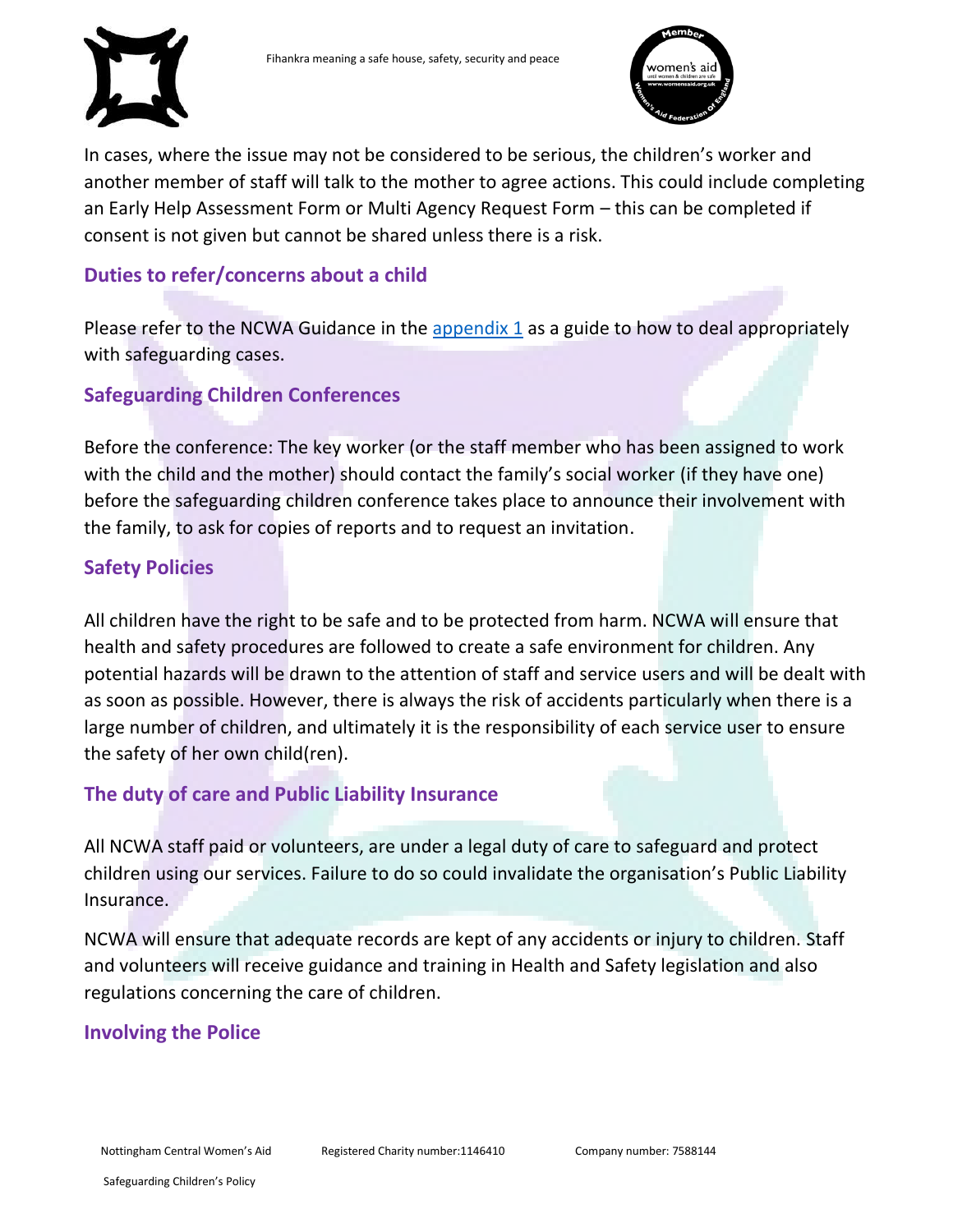



In cases, where the issue may not be considered to be serious, the children's worker and another member of staff will talk to the mother to agree actions. This could include completing an Early Help Assessment Form or Multi Agency Request Form – this can be completed if consent is not given but cannot be shared unless there is a risk.

# <span id="page-10-0"></span>**Duties to refer/concerns about a child**

Please refer to the NCWA Guidance in the [appendix](#page-11-2) 1 as a guide to how to deal appropriately with safeguarding cases.

# <span id="page-10-1"></span>**Safeguarding Children Conferences**

Before the conference: The key worker (or the staff member who has been assigned to work with the child and the mother) should contact the family's social worker (if they have one) before the safeguarding children conference takes place to announce their involvement with the family, to ask for copies of reports and to request an invitation.

# <span id="page-10-2"></span>**Safety Policies**

All children have the right to be safe and to be protected from harm. NCWA will ensure that health and safety procedures are followed to create a safe environment for children. Any potential hazards will be drawn to the attention of staff and service users and will be dealt with as soon as possible. However, there is always the risk of accidents particularly when there is a large number of children, and ultimately it is the responsibility of each service user to ensure the safety of her own child(ren).

# <span id="page-10-3"></span>**The duty of care and Public Liability Insurance**

All NCWA staff paid or volunteers, are under a legal duty of care to safeguard and protect children using our services. Failure to do so could invalidate the organisation's Public Liability Insurance.

NCWA will ensure that adequate records are kept of any accidents or injury to children. Staff and volunteers will receive guidance and training in Health and Safety legislation and also regulations concerning the care of children.

# <span id="page-10-4"></span>**Involving the Police**

Nottingham Central Women's Aid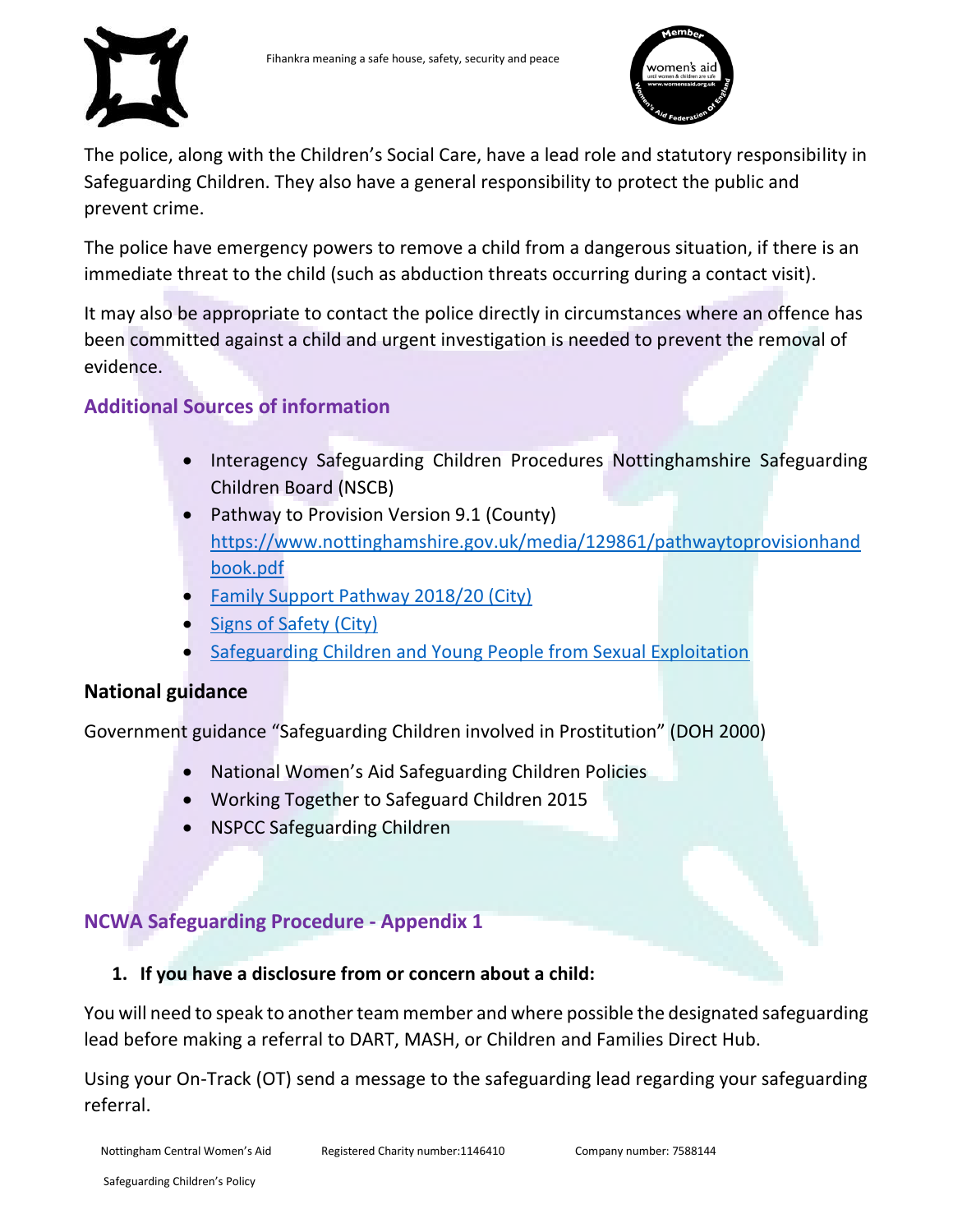



The police, along with the Children's Social Care, have a lead role and statutory responsibility in Safeguarding Children. They also have a general responsibility to protect the public and prevent crime.

The police have emergency powers to remove a child from a dangerous situation, if there is an immediate threat to the child (such as abduction threats occurring during a contact visit).

It may also be appropriate to contact the police directly in circumstances where an offence has been committed against a child and urgent investigation is needed to prevent the removal of evidence.

# <span id="page-11-0"></span>**Additional Sources of information**

- Interagency Safeguarding Children Procedures Nottinghamshire Safeguarding Children Board (NSCB)
- Pathway to Provision Version 9.1 (County) [https://www.nottinghamshire.gov.uk/media/129861/pathwaytoprovisionhand](https://www.nottinghamshire.gov.uk/media/129861/pathwaytoprovisionhandbook.pdf) [book.pdf](https://www.nottinghamshire.gov.uk/media/129861/pathwaytoprovisionhandbook.pdf)
- [Family Support Pathway 2018/20](https://www.nottinghamcity.gov.uk/media/1536396/family-support-pathway-2018-19.pdf) (City)
- [Signs of Safety \(City\)](https://www.nottinghamcity.gov.uk/information-for-residents/children-and-families/nottingham-city-safeguarding-children-board/resources-for-professionals/signs-of-safety/)
- [Safeguarding Children and Young People from Sexual Exploitation](https://www.nottinghamcity.gov.uk/information-for-residents/children-and-families/nottingham-city-safeguarding-children-board/exploitation/)

# **National guidance**

Government guidance "Safeguarding Children involved in Prostitution" (DOH 2000)

- National Women's Aid Safeguarding Children Policies
- Working Together to Safeguard Children 2015
- <span id="page-11-2"></span>NSPCC Safeguarding Children

# <span id="page-11-1"></span>**NCWA Safeguarding Procedure - Appendix 1**

# **1. If you have a disclosure from or concern about a child:**

You will need to speak to another team member and where possible the designated safeguarding lead before making a referral to DART, MASH, or Children and Families Direct Hub.

Using your On-Track (OT) send a message to the safeguarding lead regarding your safeguarding referral.

Nottingham Central Women's Aid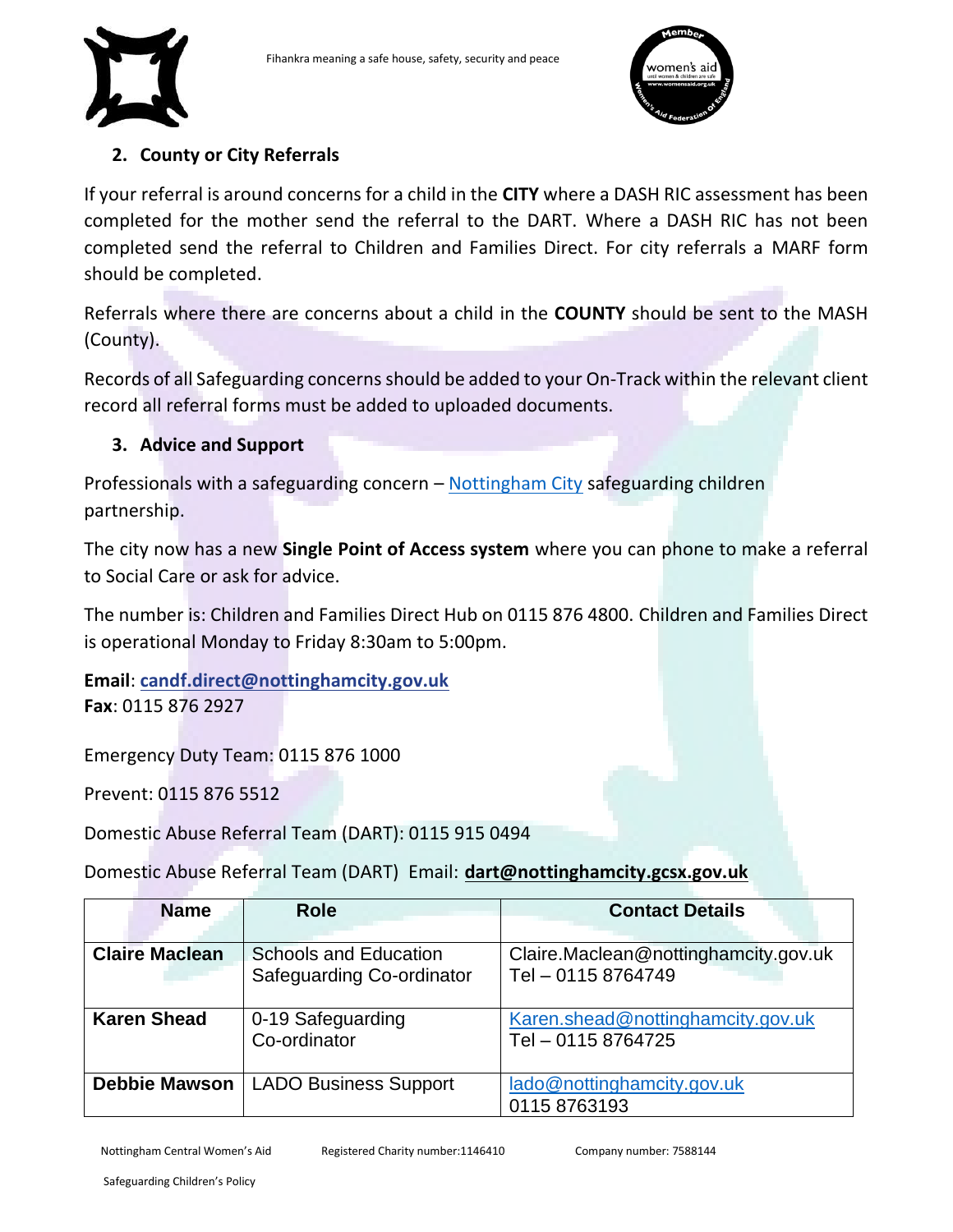



#### **2. County or City Referrals**

If your referral is around concerns for a child in the **CITY** where a DASH RIC assessment has been completed for the mother send the referral to the DART. Where a DASH RIC has not been completed send the referral to Children and Families Direct. For city referrals a MARF form should be completed.

Referrals where there are concerns about a child in the **COUNTY** should be sent to the MASH (County).

Records of all Safeguarding concerns should be added to your On-Track within the relevant client record all referral forms must be added to uploaded documents.

#### **3. Advice and Support**

<span id="page-12-0"></span>Professionals with a safeguarding concern – [Nottingham City](http://www.nottinghamcity.gov.uk/ncscp) safeguarding children partnership.

The city now has a new **Single Point of Access system** where you can phone to make a referral to Social Care or ask for advice.

The number is: Children and Families Direct Hub on 0115 876 4800. Children and Families Direct is operational Monday to Friday 8:30am to 5:00pm.

**Email**: **[candf.direct@nottinghamcity.gov.uk](mailto:candf.direct@nottinghamcity.gov.uk) Fax**: 0115 876 2927

Emergency Duty Team: 0115 876 1000

Prevent: 0115 876 5512

Domestic Abuse Referral Team (DART): 0115 915 0494

Domestic Abuse Referral Team (DART) Email: **[dart@nottinghamcity.gcsx.gov.uk](mailto:dart@nottinghamcity.gcsx.gov.uk)**

| <b>Name</b>           | <b>Role</b>                  | <b>Contact Details</b>               |
|-----------------------|------------------------------|--------------------------------------|
|                       |                              |                                      |
| <b>Claire Maclean</b> | <b>Schools and Education</b> | Claire.Maclean@nottinghamcity.gov.uk |
|                       | Safeguarding Co-ordinator    | Tel - 0115 8764749                   |
|                       |                              |                                      |
| <b>Karen Shead</b>    | 0-19 Safeguarding            | Karen.shead@nottinghamcity.gov.uk    |
|                       | Co-ordinator                 | Tel - 0115 8764725                   |
|                       |                              |                                      |
| <b>Debbie Mawson</b>  | <b>LADO Business Support</b> | lado@nottinghamcity.gov.uk           |
|                       |                              | 0115 8763193                         |